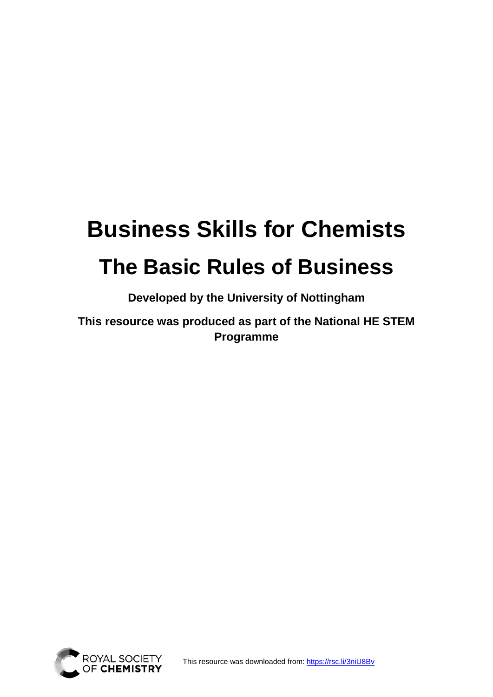# **Business Skills for Chemists The Basic Rules of Business**

**Developed by the University of Nottingham** 

**This resource was produced as part of the National HE STEM Programme** 



This resource was downloaded from:<https://rsc.li/3niU8Bv>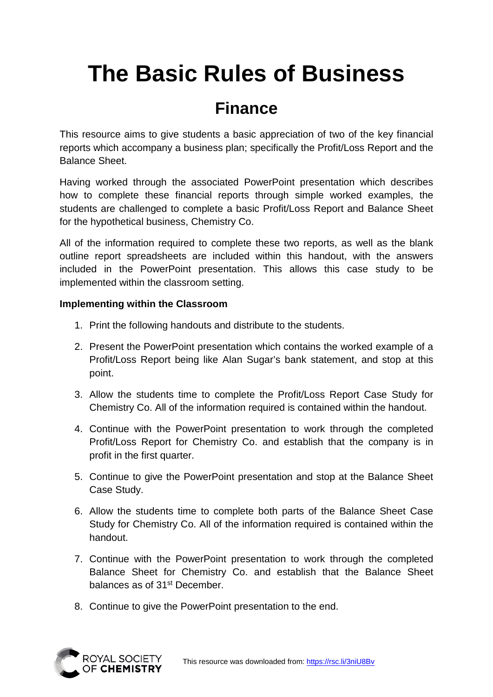## **The Basic Rules of Business**

#### **Finance**

This resource aims to give students a basic appreciation of two of the key financial reports which accompany a business plan; specifically the Profit/Loss Report and the Balance Sheet.

Having worked through the associated PowerPoint presentation which describes how to complete these financial reports through simple worked examples, the students are challenged to complete a basic Profit/Loss Report and Balance Sheet for the hypothetical business, Chemistry Co.

All of the information required to complete these two reports, as well as the blank outline report spreadsheets are included within this handout, with the answers included in the PowerPoint presentation. This allows this case study to be implemented within the classroom setting.

#### **Implementing within the Classroom**

- 1. Print the following handouts and distribute to the students.
- 2. Present the PowerPoint presentation which contains the worked example of a Profit/Loss Report being like Alan Sugar's bank statement, and stop at this point.
- 3. Allow the students time to complete the Profit/Loss Report Case Study for Chemistry Co. All of the information required is contained within the handout.
- 4. Continue with the PowerPoint presentation to work through the completed Profit/Loss Report for Chemistry Co. and establish that the company is in profit in the first quarter.
- 5. Continue to give the PowerPoint presentation and stop at the Balance Sheet Case Study.
- 6. Allow the students time to complete both parts of the Balance Sheet Case Study for Chemistry Co. All of the information required is contained within the handout.
- 7. Continue with the PowerPoint presentation to work through the completed Balance Sheet for Chemistry Co. and establish that the Balance Sheet balances as of 31st December.
- 8. Continue to give the PowerPoint presentation to the end.

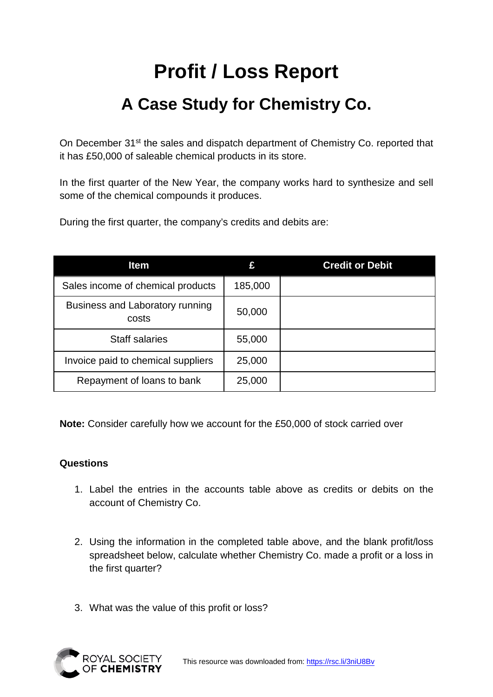### **Profit / Loss Report**

### **A Case Study for Chemistry Co.**

On December 31<sup>st</sup> the sales and dispatch department of Chemistry Co. reported that it has £50,000 of saleable chemical products in its store.

In the first quarter of the New Year, the company works hard to synthesize and sell some of the chemical compounds it produces.

During the first quarter, the company's credits and debits are:

| <b>Item</b>                              |         | <b>Credit or Debit</b> |
|------------------------------------------|---------|------------------------|
| Sales income of chemical products        | 185,000 |                        |
| Business and Laboratory running<br>costs | 50,000  |                        |
| <b>Staff salaries</b>                    | 55,000  |                        |
| Invoice paid to chemical suppliers       | 25,000  |                        |
| Repayment of loans to bank               | 25,000  |                        |

**Note:** Consider carefully how we account for the £50,000 of stock carried over

#### **Questions**

- 1. Label the entries in the accounts table above as credits or debits on the account of Chemistry Co.
- 2. Using the information in the completed table above, and the blank profit/loss spreadsheet below, calculate whether Chemistry Co. made a profit or a loss in the first quarter?
- 3. What was the value of this profit or loss?

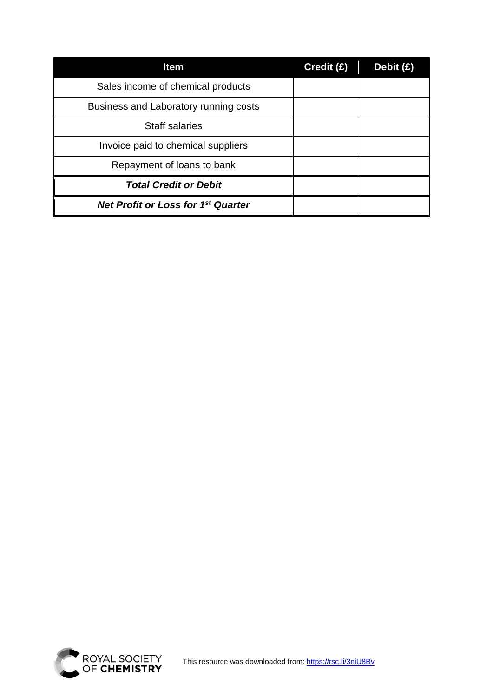| <b>Item</b>                               | Credit (£) | Debit $(E)$ |
|-------------------------------------------|------------|-------------|
| Sales income of chemical products         |            |             |
| Business and Laboratory running costs     |            |             |
| <b>Staff salaries</b>                     |            |             |
| Invoice paid to chemical suppliers        |            |             |
| Repayment of loans to bank                |            |             |
| <b>Total Credit or Debit</b>              |            |             |
| <b>Net Profit or Loss for 1st Quarter</b> |            |             |

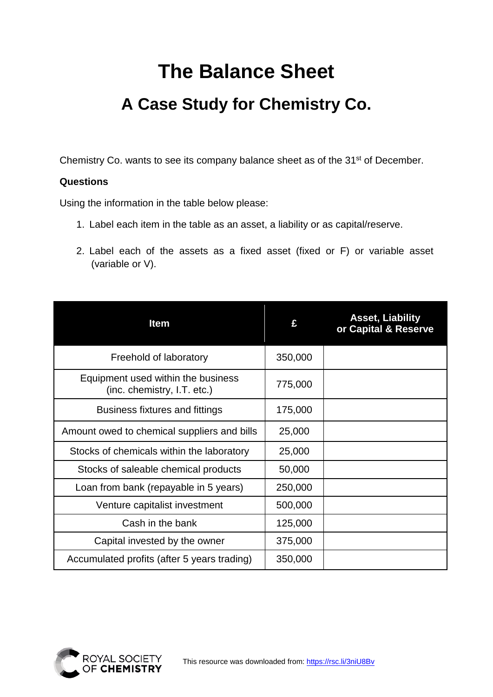### **The Balance Sheet**

### **A Case Study for Chemistry Co.**

Chemistry Co. wants to see its company balance sheet as of the 31<sup>st</sup> of December.

#### **Questions**

Using the information in the table below please:

- 1. Label each item in the table as an asset, a liability or as capital/reserve.
- 2. Label each of the assets as a fixed asset (fixed or F) or variable asset (variable or V).

| <b>Item</b>                                                       |         | <b>Asset, Liability</b><br>or Capital & Reserve |
|-------------------------------------------------------------------|---------|-------------------------------------------------|
| Freehold of laboratory                                            | 350,000 |                                                 |
| Equipment used within the business<br>(inc. chemistry, I.T. etc.) | 775,000 |                                                 |
| Business fixtures and fittings                                    | 175,000 |                                                 |
| Amount owed to chemical suppliers and bills                       | 25,000  |                                                 |
| Stocks of chemicals within the laboratory                         | 25,000  |                                                 |
| Stocks of saleable chemical products                              | 50,000  |                                                 |
| Loan from bank (repayable in 5 years)                             | 250,000 |                                                 |
| Venture capitalist investment                                     | 500,000 |                                                 |
| Cash in the bank                                                  | 125,000 |                                                 |
| Capital invested by the owner                                     | 375,000 |                                                 |
| Accumulated profits (after 5 years trading)                       | 350,000 |                                                 |